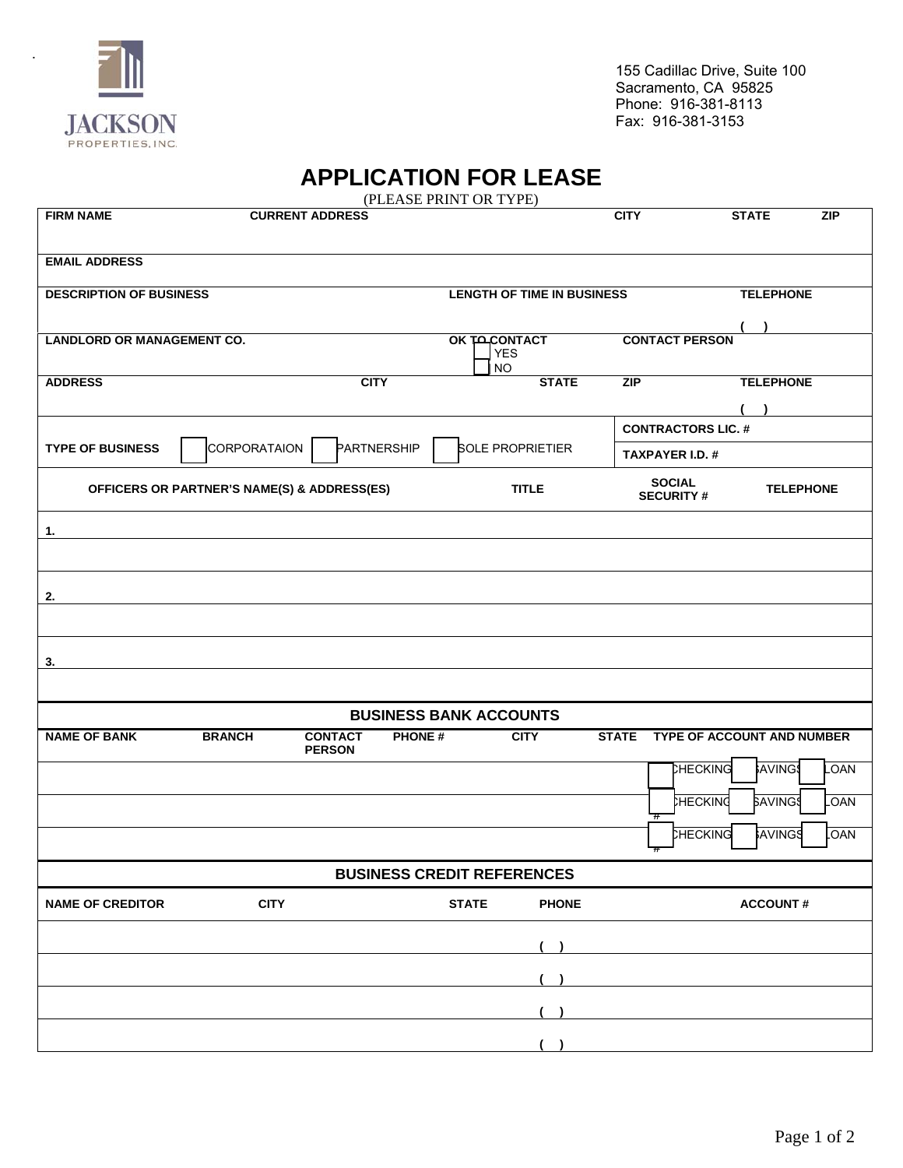

.

## **APPLICATION FOR LEASE**

| (PLEASE PRINT OR TYPE)            |                                             |                                                  |                                   |                                   |                                   |                  |  |  |
|-----------------------------------|---------------------------------------------|--------------------------------------------------|-----------------------------------|-----------------------------------|-----------------------------------|------------------|--|--|
| <b>FIRM NAME</b>                  |                                             | <b>CURRENT ADDRESS</b>                           |                                   | <b>CITY</b>                       | <b>STATE</b>                      | ZIP              |  |  |
| <b>EMAIL ADDRESS</b>              |                                             |                                                  |                                   |                                   |                                   |                  |  |  |
| <b>DESCRIPTION OF BUSINESS</b>    |                                             |                                                  | <b>LENGTH OF TIME IN BUSINESS</b> |                                   | <b>TELEPHONE</b>                  |                  |  |  |
|                                   |                                             |                                                  |                                   |                                   |                                   |                  |  |  |
| <b>LANDLORD OR MANAGEMENT CO.</b> |                                             |                                                  | OK TACONTACT<br><b>YES</b><br>NO  | <b>CONTACT PERSON</b>             |                                   |                  |  |  |
| <b>ADDRESS</b>                    |                                             | <b>CITY</b>                                      | <b>STATE</b>                      | ZIP                               | <b>TELEPHONE</b>                  |                  |  |  |
|                                   |                                             |                                                  |                                   |                                   |                                   |                  |  |  |
|                                   |                                             |                                                  |                                   | <b>CONTRACTORS LIC. #</b>         |                                   |                  |  |  |
| <b>TYPE OF BUSINESS</b>           | CORPORATAION                                | PARTNERSHIP                                      | <b>SOLE PROPRIETIER</b>           | <b>TAXPAYER I.D. #</b>            |                                   |                  |  |  |
|                                   | OFFICERS OR PARTNER'S NAME(S) & ADDRESS(ES) |                                                  | <b>TITLE</b>                      | <b>SOCIAL</b><br><b>SECURITY#</b> |                                   | <b>TELEPHONE</b> |  |  |
| 1.                                |                                             |                                                  |                                   |                                   |                                   |                  |  |  |
|                                   |                                             |                                                  |                                   |                                   |                                   |                  |  |  |
| 2.                                |                                             |                                                  |                                   |                                   |                                   |                  |  |  |
|                                   |                                             |                                                  |                                   |                                   |                                   |                  |  |  |
|                                   |                                             |                                                  |                                   |                                   |                                   |                  |  |  |
| 3.                                |                                             |                                                  |                                   |                                   |                                   |                  |  |  |
|                                   |                                             |                                                  | <b>BUSINESS BANK ACCOUNTS</b>     |                                   |                                   |                  |  |  |
| <b>NAME OF BANK</b>               | <b>BRANCH</b>                               | <b>CONTACT</b><br><b>PHONE#</b><br><b>PERSON</b> | <b>CITY</b>                       | <b>STATE</b>                      | <b>TYPE OF ACCOUNT AND NUMBER</b> |                  |  |  |
|                                   |                                             |                                                  |                                   |                                   | CHECKING<br><b>AVING</b>          | LOAN             |  |  |
|                                   |                                             |                                                  |                                   | $^{\rm \pi}$                      | HECKING<br><b>SAVING</b>          | <b>LOAN</b>      |  |  |
|                                   |                                             |                                                  |                                   |                                   | <b>CHECKING</b><br>AVINGS         | <b>OAN</b>       |  |  |
|                                   |                                             |                                                  | <b>BUSINESS CREDIT REFERENCES</b> |                                   |                                   |                  |  |  |
| <b>NAME OF CREDITOR</b>           | <b>CITY</b>                                 |                                                  | <b>PHONE</b><br><b>STATE</b>      |                                   | <b>ACCOUNT#</b>                   |                  |  |  |
|                                   |                                             |                                                  |                                   |                                   |                                   |                  |  |  |
|                                   |                                             |                                                  |                                   |                                   |                                   |                  |  |  |
|                                   |                                             |                                                  |                                   |                                   |                                   |                  |  |  |
|                                   |                                             |                                                  |                                   |                                   |                                   |                  |  |  |
|                                   |                                             |                                                  |                                   |                                   |                                   |                  |  |  |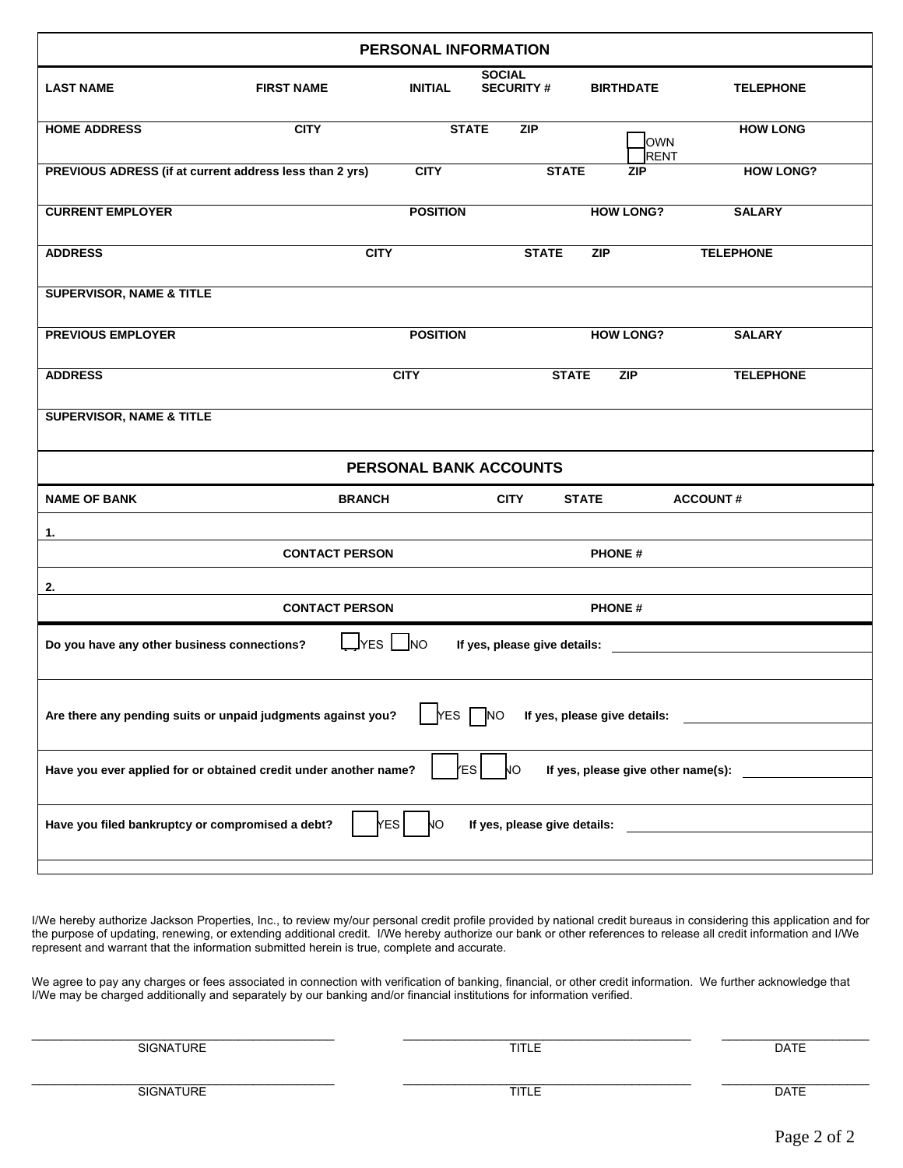| PERSONAL INFORMATION                                             |                       |                 |                                   |                                    |                  |  |
|------------------------------------------------------------------|-----------------------|-----------------|-----------------------------------|------------------------------------|------------------|--|
| <b>LAST NAME</b>                                                 | <b>FIRST NAME</b>     | <b>INITIAL</b>  | <b>SOCIAL</b><br><b>SECURITY#</b> | <b>BIRTHDATE</b>                   | <b>TELEPHONE</b> |  |
| <b>HOME ADDRESS</b>                                              | <b>CITY</b>           | <b>STATE</b>    | <b>ZIP</b>                        | OWN<br><b>RENT</b>                 | <b>HOW LONG</b>  |  |
| PREVIOUS ADRESS (if at current address less than 2 yrs)          |                       | <b>CITY</b>     | <b>STATE</b>                      | <b>ZIP</b>                         | <b>HOW LONG?</b> |  |
| <b>CURRENT EMPLOYER</b>                                          |                       | <b>POSITION</b> |                                   | <b>HOW LONG?</b>                   | <b>SALARY</b>    |  |
| <b>ADDRESS</b>                                                   | <b>CITY</b>           |                 | <b>STATE</b>                      | <b>ZIP</b>                         | <b>TELEPHONE</b> |  |
| <b>SUPERVISOR, NAME &amp; TITLE</b>                              |                       |                 |                                   |                                    |                  |  |
| <b>PREVIOUS EMPLOYER</b>                                         |                       | <b>POSITION</b> |                                   | <b>HOW LONG?</b>                   | <b>SALARY</b>    |  |
| <b>ADDRESS</b>                                                   |                       | <b>CITY</b>     | <b>STATE</b>                      | ZIP                                | <b>TELEPHONE</b> |  |
| <b>SUPERVISOR, NAME &amp; TITLE</b>                              |                       |                 |                                   |                                    |                  |  |
|                                                                  |                       |                 | PERSONAL BANK ACCOUNTS            |                                    |                  |  |
| <b>NAME OF BANK</b>                                              | <b>BRANCH</b>         |                 | <b>CITY</b>                       | <b>STATE</b>                       | <b>ACCOUNT#</b>  |  |
| 1.                                                               | <b>CONTACT PERSON</b> |                 |                                   | <b>PHONE#</b>                      |                  |  |
| 2.                                                               |                       |                 |                                   |                                    |                  |  |
|                                                                  | <b>CONTACT PERSON</b> |                 |                                   | <b>PHONE#</b>                      |                  |  |
| Do you have any other business connections?                      | $\Box$ Yes $\Box$     | <b>NO</b>       | If yes, please give details:      |                                    |                  |  |
| Are there any pending suits or unpaid judgments against you?     |                       | <b>YES</b>      | <b>NO</b>                         | If yes, please give details:       |                  |  |
| Have you ever applied for or obtained credit under another name? |                       | <b>ES</b>       | NО                                | If yes, please give other name(s): |                  |  |
| Have you filed bankruptcy or compromised a debt?                 | <b>YES</b>            | NО              | If yes, please give details:      |                                    |                  |  |
|                                                                  |                       |                 |                                   |                                    |                  |  |

I/We hereby authorize Jackson Properties, Inc., to review my/our personal credit profile provided by national credit bureaus in considering this application and for the purpose of updating, renewing, or extending additional credit. I/We hereby authorize our bank or other references to release all credit information and I/We represent and warrant that the information submitted herein is true, complete and accurate.

We agree to pay any charges or fees associated in connection with verification of banking, financial, or other credit information. We further acknowledge that I/We may be charged additionally and separately by our banking and/or financial institutions for information verified.

| <b>SIGNATURE</b> | <b>TITLE</b> | <b>DATE</b> |
|------------------|--------------|-------------|
| SIGNATURE        | <b>TITLE</b> | <b>DATE</b> |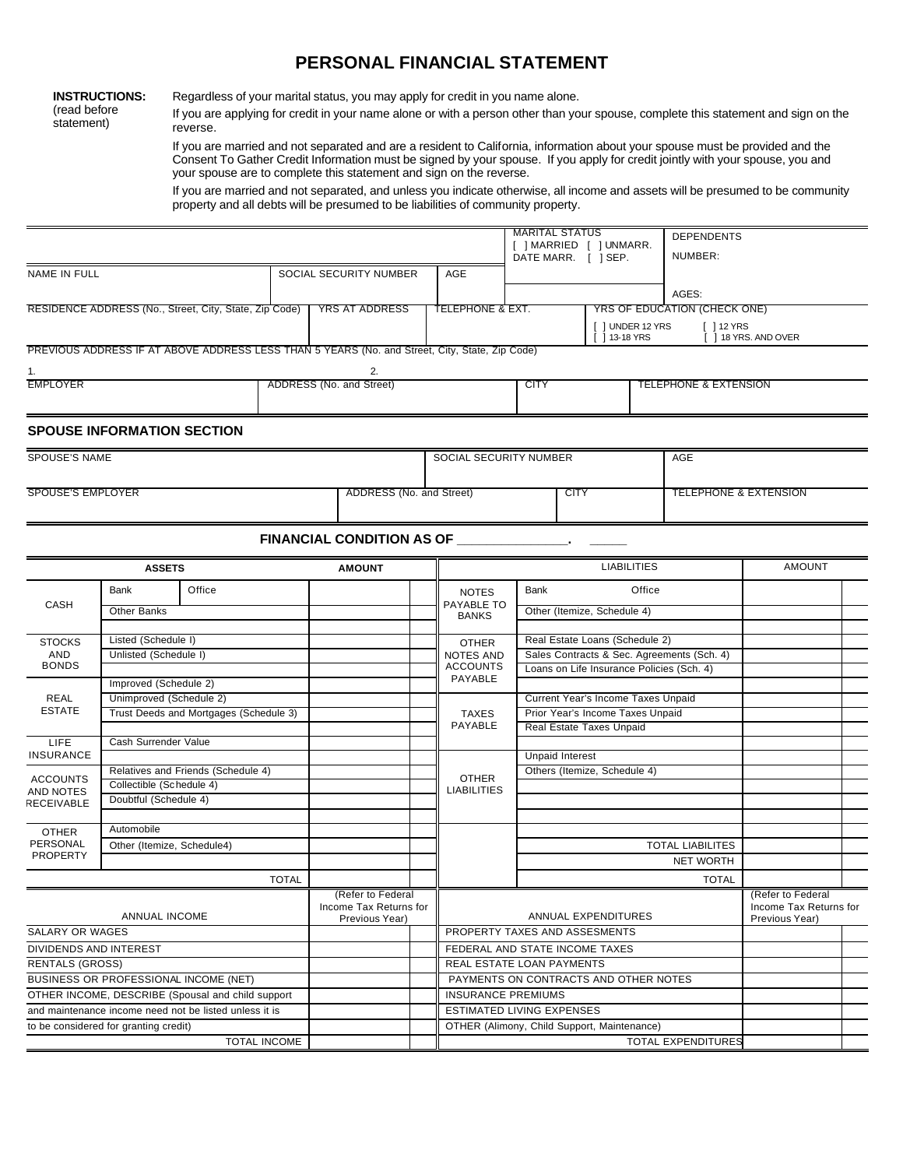## **PERSONAL FINANCIAL STATEMENT**

**INSTRUCTIONS:** (read before statement)

Regardless of your marital status, you may apply for credit in you name alone.

If you are applying for credit in your name alone or with a person other than your spouse, complete this statement and sign on the reverse.

If you are married and not separated and are a resident to California, information about your spouse must be provided and the Consent To Gather Credit Information must be signed by your spouse. If you apply for credit jointly with your spouse, you and your spouse are to complete this statement and sign on the reverse.

If you are married and not separated, and unless you indicate otherwise, all income and assets will be presumed to be community property and all debts will be presumed to be liabilities of community property.

|                               |                                       |                                                                                                |              |                                                               |                                             | <b>MARITAL STATUS</b> |                                                                        | [ ] MARRIED [ ] UNMARR.<br>DATE MARR. [ ] SEP. |        | <b>DEPENDENTS</b><br>NUMBER:     |                                                               |  |
|-------------------------------|---------------------------------------|------------------------------------------------------------------------------------------------|--------------|---------------------------------------------------------------|---------------------------------------------|-----------------------|------------------------------------------------------------------------|------------------------------------------------|--------|----------------------------------|---------------------------------------------------------------|--|
| NAME IN FULL                  |                                       |                                                                                                |              | SOCIAL SECURITY NUMBER                                        | AGE                                         |                       |                                                                        |                                                |        |                                  |                                                               |  |
|                               |                                       |                                                                                                |              |                                                               |                                             |                       |                                                                        |                                                |        | AGES:                            |                                                               |  |
|                               |                                       | RESIDENCE ADDRESS (No., Street, City, State, Zip Code)                                         |              | <b>YRS AT ADDRESS</b>                                         | <b>TELEPHONE &amp; EXT.</b>                 |                       |                                                                        |                                                |        | YRS OF EDUCATION (CHECK ONE)     |                                                               |  |
|                               |                                       |                                                                                                |              |                                                               |                                             |                       |                                                                        | [ ] UNDER 12 YRS<br>$[$ 13-18 YRS              |        | $112$ YRS                        | [ ] 18 YRS. AND OVER                                          |  |
|                               |                                       | PREVIOUS ADDRESS IF AT ABOVE ADDRESS LESS THAN 5 YEARS (No. and Street, City, State, Zip Code) |              |                                                               |                                             |                       |                                                                        |                                                |        |                                  |                                                               |  |
| 1.                            |                                       |                                                                                                |              | 2.                                                            |                                             |                       |                                                                        |                                                |        |                                  |                                                               |  |
| <b>EMPLOYER</b>               |                                       |                                                                                                |              | ADDRESS (No. and Street)                                      |                                             | <b>CITY</b>           |                                                                        |                                                |        | <b>TELEPHONE &amp; EXTENSION</b> |                                                               |  |
|                               |                                       |                                                                                                |              |                                                               |                                             |                       |                                                                        |                                                |        |                                  |                                                               |  |
|                               | <b>SPOUSE INFORMATION SECTION</b>     |                                                                                                |              |                                                               |                                             |                       |                                                                        |                                                |        |                                  |                                                               |  |
| SPOUSE'S NAME                 |                                       |                                                                                                |              |                                                               | SOCIAL SECURITY NUMBER                      |                       |                                                                        |                                                |        | AGE                              |                                                               |  |
|                               |                                       |                                                                                                |              |                                                               |                                             |                       |                                                                        |                                                |        |                                  |                                                               |  |
| <b>SPOUSE'S EMPLOYER</b>      |                                       |                                                                                                |              | ADDRESS (No. and Street)                                      |                                             |                       | <b>CITY</b>                                                            |                                                |        |                                  | <b>TELEPHONE &amp; EXTENSION</b>                              |  |
|                               |                                       |                                                                                                |              |                                                               |                                             |                       |                                                                        |                                                |        |                                  |                                                               |  |
|                               |                                       |                                                                                                |              | FINANCIAL CONDITION AS OF ____________                        |                                             |                       |                                                                        |                                                |        |                                  |                                                               |  |
|                               | <b>ASSETS</b>                         |                                                                                                |              | <b>AMOUNT</b>                                                 |                                             |                       |                                                                        | <b>LIABILITIES</b>                             |        |                                  | <b>AMOUNT</b>                                                 |  |
| CASH                          | Bank                                  | Office                                                                                         |              |                                                               | <b>NOTES</b><br>PAYABLE TO                  | Bank                  |                                                                        |                                                | Office |                                  |                                                               |  |
|                               | Other Banks                           |                                                                                                |              |                                                               | <b>BANKS</b>                                |                       | Other (Itemize, Schedule 4)                                            |                                                |        |                                  |                                                               |  |
| <b>STOCKS</b>                 | Listed (Schedule I)                   |                                                                                                |              |                                                               | <b>OTHER</b>                                |                       | Real Estate Loans (Schedule 2)                                         |                                                |        |                                  |                                                               |  |
| AND                           | Unlisted (Schedule I)                 |                                                                                                |              |                                                               | <b>NOTES AND</b>                            |                       | Sales Contracts & Sec. Agreements (Sch. 4)                             |                                                |        |                                  |                                                               |  |
| <b>BONDS</b>                  |                                       |                                                                                                |              |                                                               | <b>ACCOUNTS</b><br>PAYABLE                  |                       | Loans on Life Insurance Policies (Sch. 4)                              |                                                |        |                                  |                                                               |  |
|                               | Improved (Schedule 2)                 |                                                                                                |              |                                                               |                                             |                       |                                                                        |                                                |        |                                  |                                                               |  |
| REAL<br><b>ESTATE</b>         | Unimproved (Schedule 2)               |                                                                                                |              |                                                               |                                             |                       | Current Year's Income Taxes Unpaid<br>Prior Year's Income Taxes Unpaid |                                                |        |                                  |                                                               |  |
|                               |                                       | Trust Deeds and Mortgages (Schedule 3)                                                         |              |                                                               | <b>TAXES</b><br>PAYABLE                     |                       |                                                                        |                                                |        |                                  |                                                               |  |
| LIFE                          | Cash Surrender Value                  |                                                                                                |              |                                                               |                                             |                       |                                                                        | Real Estate Taxes Unpaid                       |        |                                  |                                                               |  |
| <b>INSURANCE</b>              |                                       |                                                                                                |              |                                                               |                                             |                       | <b>Unpaid Interest</b>                                                 |                                                |        |                                  |                                                               |  |
|                               |                                       | Relatives and Friends (Schedule 4)                                                             |              |                                                               |                                             |                       |                                                                        | Others (Itemize, Schedule 4)                   |        |                                  |                                                               |  |
| <b>ACCOUNTS</b><br>AND NOTES  | Collectible (Schedule 4)              |                                                                                                |              |                                                               | <b>OTHER</b><br><b>LIABILITIES</b>          |                       |                                                                        |                                                |        |                                  |                                                               |  |
| RECEIVABLE                    | Doubtful (Schedule 4)                 |                                                                                                |              |                                                               |                                             |                       |                                                                        |                                                |        |                                  |                                                               |  |
|                               |                                       |                                                                                                |              |                                                               |                                             |                       |                                                                        |                                                |        |                                  |                                                               |  |
| <b>OTHER</b>                  | Automobile                            |                                                                                                |              |                                                               |                                             |                       |                                                                        |                                                |        |                                  |                                                               |  |
| PERSONAL<br><b>PROPERTY</b>   | Other (Itemize, Schedule4)            |                                                                                                |              |                                                               |                                             |                       |                                                                        |                                                |        | <b>TOTAL LIABILITES</b>          |                                                               |  |
|                               |                                       |                                                                                                |              |                                                               |                                             |                       |                                                                        |                                                |        | <b>NET WORTH</b>                 |                                                               |  |
|                               |                                       |                                                                                                | <b>TOTAL</b> |                                                               |                                             |                       |                                                                        |                                                |        | <b>TOTAL</b>                     |                                                               |  |
|                               | ANNUAL INCOME                         |                                                                                                |              | (Refer to Federal<br>Income Tax Returns for<br>Previous Year) |                                             |                       |                                                                        | ANNUAL EXPENDITURES                            |        |                                  | (Refer to Federal<br>Income Tax Returns for<br>Previous Year) |  |
| <b>SALARY OR WAGES</b>        |                                       |                                                                                                |              |                                                               | PROPERTY TAXES AND ASSESMENTS               |                       |                                                                        |                                                |        |                                  |                                                               |  |
| <b>DIVIDENDS AND INTEREST</b> |                                       |                                                                                                |              |                                                               | FEDERAL AND STATE INCOME TAXES              |                       |                                                                        |                                                |        |                                  |                                                               |  |
| <b>RENTALS (GROSS)</b>        |                                       |                                                                                                |              |                                                               | REAL ESTATE LOAN PAYMENTS                   |                       |                                                                        |                                                |        |                                  |                                                               |  |
|                               | BUSINESS OR PROFESSIONAL INCOME (NET) |                                                                                                |              |                                                               | PAYMENTS ON CONTRACTS AND OTHER NOTES       |                       |                                                                        |                                                |        |                                  |                                                               |  |
|                               |                                       | OTHER INCOME, DESCRIBE (Spousal and child support                                              |              |                                                               | <b>INSURANCE PREMIUMS</b>                   |                       |                                                                        |                                                |        |                                  |                                                               |  |
|                               |                                       | and maintenance income need not be listed unless it is                                         |              |                                                               | ESTIMATED LIVING EXPENSES                   |                       |                                                                        |                                                |        |                                  |                                                               |  |
|                               | to be considered for granting credit) |                                                                                                |              |                                                               | OTHER (Alimony, Child Support, Maintenance) |                       |                                                                        |                                                |        |                                  |                                                               |  |

TOTAL INCOME TOTAL EXPENDITURES